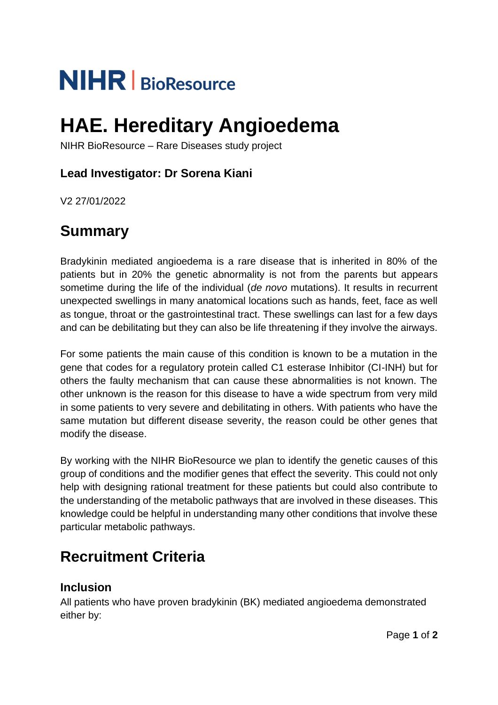# **NIHR** | BioResource

## **HAE. Hereditary Angioedema**

NIHR BioResource – Rare Diseases study project

### **Lead Investigator: Dr Sorena Kiani**

V2 27/01/2022

## **Summary**

Bradykinin mediated angioedema is a rare disease that is inherited in 80% of the patients but in 20% the genetic abnormality is not from the parents but appears sometime during the life of the individual (*de novo* mutations). It results in recurrent unexpected swellings in many anatomical locations such as hands, feet, face as well as tongue, throat or the gastrointestinal tract. These swellings can last for a few days and can be debilitating but they can also be life threatening if they involve the airways.

For some patients the main cause of this condition is known to be a mutation in the gene that codes for a regulatory protein called C1 esterase Inhibitor (CI-INH) but for others the faulty mechanism that can cause these abnormalities is not known. The other unknown is the reason for this disease to have a wide spectrum from very mild in some patients to very severe and debilitating in others. With patients who have the same mutation but different disease severity, the reason could be other genes that modify the disease.

By working with the NIHR BioResource we plan to identify the genetic causes of this group of conditions and the modifier genes that effect the severity. This could not only help with designing rational treatment for these patients but could also contribute to the understanding of the metabolic pathways that are involved in these diseases. This knowledge could be helpful in understanding many other conditions that involve these particular metabolic pathways.

## **Recruitment Criteria**

#### **Inclusion**

All patients who have proven bradykinin (BK) mediated angioedema demonstrated either by: